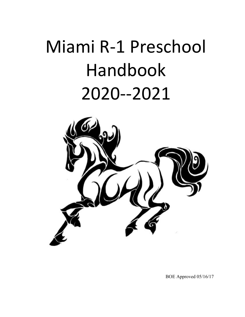# Miami R-1 Preschool Handbook 2020--2021



BOE Approved 05/16/17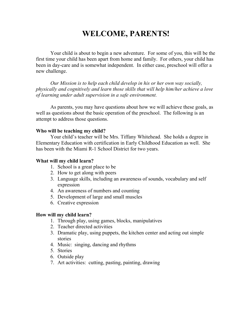# WELCOME, PARENTS!

 Your child is about to begin a new adventure. For some of you, this will be the first time your child has been apart from home and family. For others, your child has been in day-care and is somewhat independent. In either case, preschool will offer a new challenge.

Our Mission is to help each child develop in his or her own way socially, physically and cognitively and learn those skills that will help him/her achieve a love of learning under adult supervision in a safe environment.

As parents, you may have questions about how we will achieve these goals, as well as questions about the basic operation of the preschool. The following is an attempt to address those questions.

#### Who will be teaching my child?

Your child's teacher will be Mrs. Tiffany Whitehead. She holds a degree in Elementary Education with certification in Early Childhood Education as well. She has been with the Miami R-1 School District for two years.

#### What will my child learn?

- 1. School is a great place to be
- 2. How to get along with peers
- 3. Language skills, including an awareness of sounds, vocabulary and self expression
- 4. An awareness of numbers and counting
- 5. Development of large and small muscles
- 6. Creative expression

#### How will my child learn?

- 1. Through play, using games, blocks, manipulatives
- 2. Teacher directed activities
- 3. Dramatic play, using puppets, the kitchen center and acting out simple stories
- 4. Music: singing, dancing and rhythms
- 5. Stories
- 6. Outside play
- 7. Art activities: cutting, pasting, painting, drawing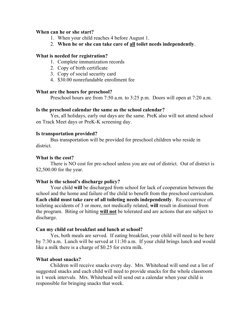#### When can he or she start?

- 1. When your child reaches 4 before August 1.
- 2. When he or she can take care of all toilet needs independently.

#### What is needed for registration?

- 1. Complete immunization records
- 2. Copy of birth certificate
- 3. Copy of social security card
- 4. \$30.00 nonrefundable enrollment fee

#### What are the hours for preschool?

Preschool hours are from 7:50 a.m. to 3:25 p.m. Doors will open at 7:20 a.m.

#### Is the preschool calendar the same as the school calendar?

 Yes, all holidays, early out days are the same. PreK also will not attend school on Track Meet days or PreK-K screening day.

#### Is transportation provided?

 Bus transportation will be provided for preschool children who reside in district.

#### What is the cost?

There is NO cost for pre-school unless you are out of district. Out of district is \$2,500.00 for the year.

## What is the school's discharge policy?

 Your child will be discharged from school for lack of cooperation between the school and the home and failure of the child to benefit from the preschool curriculum. Each child must take care of all toileting needs independently. Re-occurrence of toileting accidents of 3 or more, not medically related, will result in dismissal from the program. Biting or hitting will not be tolerated and are actions that are subject to discharge.

#### Can my child eat breakfast and lunch at school?

 Yes, both meals are served. If eating breakfast, your child will need to be here by 7:30 a.m. Lunch will be served at 11:30 a.m. If your child brings lunch and would like a milk there is a charge of \$0.25 for extra milk.

## What about snacks?

 Children will receive snacks every day. Mrs. Whitehead will send out a list of suggested snacks and each child will need to provide snacks for the whole classroom in 1 week intervals. Mrs. Whitehead will send out a calendar when your child is responsible for bringing snacks that week.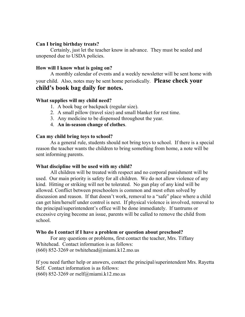#### Can I bring birthday treats?

 Certainly, just let the teacher know in advance. They must be sealed and unopened due to USDA policies.

#### How will I know what is going on?

 A monthly calendar of events and a weekly newsletter will be sent home with your child. Also, notes may be sent home periodically. Please check your child's book bag daily for notes.

#### What supplies will my child need?

- 1. A book bag or backpack (regular size).
- 2. A small pillow (travel size) and small blanket for rest time.
- 3. Any medicine to be dispensed throughout the year.
- 4. An in-season change of clothes.

#### Can my child bring toys to school?

 As a general rule, students should not bring toys to school. If there is a special reason the teacher wants the children to bring something from home, a note will be sent informing parents.

#### What discipline will be used with my child?

 All children will be treated with respect and no corporal punishment will be used. Our main priority is safety for all children. We do not allow violence of any kind. Hitting or striking will not be tolerated. No gun play of any kind will be allowed. Conflict between preschoolers is common and most often solved by discussion and reason. If that doesn't work, removal to a "safe" place where a child can get him/herself under control is next. If physical violence is involved, removal to the principal/superintendent's office will be done immediately. If tantrums or excessive crying become an issue, parents will be called to remove the child from school.

#### Who do I contact if I have a problem or question about preschool?

 For any questions or problems, first contact the teacher, Mrs. Tiffany Whitehead. Contact information is as follows:  $(660)$  852-3269 or twhitehead@miami.k12.mo.us

If you need further help or answers, contact the principal/superintendent Mrs. Rayetta Self. Contact information is as follows:

(660) 852-3269 or rself@miami.k12.mo.us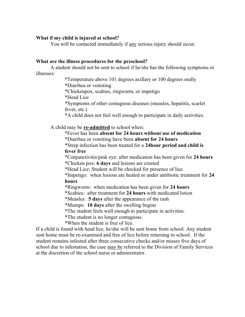#### What if my child is injured at school?

You will be contacted immediately if any serious injury should occur.

#### What are the illness procedures for the preschool?

 A student should not be sent to school if he/she has the following symptoms or illnesses:

> \*Temperature above 101 degrees axillary or 100 degrees orally \*Diarrhea or vomiting

\*Chickenpox, scabies, ringworm, or impetigo

\*Head Lice

\*Symptoms of other contagious diseases (measles, hepatitis, scarlet fever, etc.)

\*A child does not feel well enough to participate in daily activities.

A child may be **re-admitted** to school when:

 \*Fever has been absent for 24 hours without use of medication \*Diarrhea or vomiting have been absent for 24 hours

\*Strep infection has been treated for a 24hour period and child is fever free

\*Conjunctivitis/pink eye: after medication has been given for 24 hours \*Chicken pox: 6 days and lesions are crusted

\*Head Lice: Student will be checked for presence of lice.

\*Impetigo: when lesions are healed or under antibiotic treatment for 24 hours

\*Ringworm: when medication has been given for 24 hours

\*Scabies: after treatment for 24 hours with medicated lotion

\*Measles: 5 days after the appearance of the rash

\*Mumps: 10 days after the swelling begins

\*The student feels well enough to participate in activities.

\*The student is no longer contagious.

\*When the student is free of lice.

If a child is found with head lice, he/she will be sent home from school. Any student sent home must be re-examined and free of lice before returning to school. If the student remains infested after three consecutive checks and/or misses five days of school due to infestation, the case may be referred to the Division of Family Services at the discretion of the school nurse or administrator.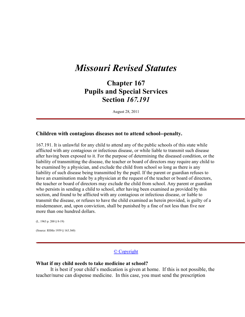# Missouri Revised Statutes

Chapter 167 Pupils and Special Services Section 167.191

August 28, 2011

#### Children with contagious diseases not to attend school--penalty.

167.191. It is unlawful for any child to attend any of the public schools of this state while afflicted with any contagious or infectious disease, or while liable to transmit such disease after having been exposed to it. For the purpose of determining the diseased condition, or the liability of transmitting the disease, the teacher or board of directors may require any child to be examined by a physician, and exclude the child from school so long as there is any liability of such disease being transmitted by the pupil. If the parent or guardian refuses to have an examination made by a physician at the request of the teacher or board of directors, the teacher or board of directors may exclude the child from school. Any parent or guardian who persists in sending a child to school, after having been examined as provided by this section, and found to be afflicted with any contagious or infectious disease, or liable to transmit the disease, or refuses to have the child examined as herein provided, is guilty of a misdemeanor, and, upon conviction, shall be punished by a fine of not less than five nor more than one hundred dollars.

(L. 1963 p. 200 § 8-19)

(Source: RSMo 1959 § 163.360)

#### © Copyright

#### What if my child needs to take medicine at school?

 It is best if your child's medication is given at home. If this is not possible, the teacher/nurse can dispense medicine. In this case, you must send the prescription